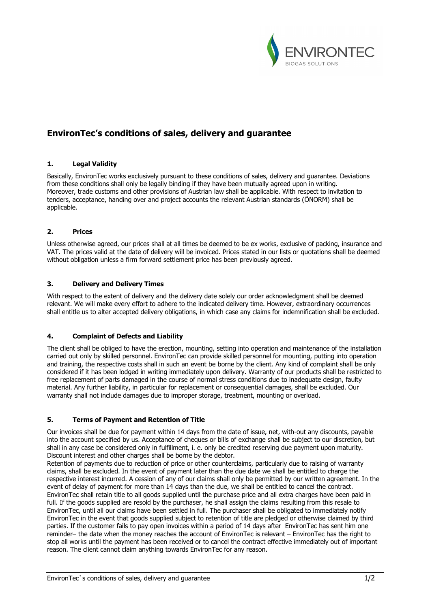

# **EnvironTec's conditions of sales, delivery and guarantee**

# **1. Legal Validity**

Basically, EnvironTec works exclusively pursuant to these conditions of sales, delivery and guarantee. Deviations from these conditions shall only be legally binding if they have been mutually agreed upon in writing. Moreover, trade customs and other provisions of Austrian law shall be applicable. With respect to invitation to tenders, acceptance, handing over and project accounts the relevant Austrian standards (ÖNORM) shall be applicable.

# **2. Prices**

Unless otherwise agreed, our prices shall at all times be deemed to be ex works, exclusive of packing, insurance and VAT. The prices valid at the date of delivery will be invoiced. Prices stated in our lists or quotations shall be deemed without obligation unless a firm forward settlement price has been previously agreed.

# **3. Delivery and Delivery Times**

With respect to the extent of delivery and the delivery date solely our order acknowledgment shall be deemed relevant. We will make every effort to adhere to the indicated delivery time. However, extraordinary occurrences shall entitle us to alter accepted delivery obligations, in which case any claims for indemnification shall be excluded.

# **4. Complaint of Defects and Liability**

The client shall be obliged to have the erection, mounting, setting into operation and maintenance of the installation carried out only by skilled personnel. EnvironTec can provide skilled personnel for mounting, putting into operation and training, the respective costs shall in such an event be borne by the client. Any kind of complaint shall be only considered if it has been lodged in writing immediately upon delivery. Warranty of our products shall be restricted to free replacement of parts damaged in the course of normal stress conditions due to inadequate design, faulty material. Any further liability, in particular for replacement or consequential damages, shall be excluded. Our warranty shall not include damages due to improper storage, treatment, mounting or overload.

## **5. Terms of Payment and Retention of Title**

Our invoices shall be due for payment within 14 days from the date of issue, net, with-out any discounts, payable into the account specified by us. Acceptance of cheques or bills of exchange shall be subject to our discretion, but shall in any case be considered only in fulfillment, i. e. only be credited reserving due payment upon maturity. Discount interest and other charges shall be borne by the debtor.

Retention of payments due to reduction of price or other counterclaims, particularly due to raising of warranty claims, shall be excluded. In the event of payment later than the due date we shall be entitled to charge the respective interest incurred. A cession of any of our claims shall only be permitted by our written agreement. In the event of delay of payment for more than 14 days than the due, we shall be entitled to cancel the contract. EnvironTec shall retain title to all goods supplied until the purchase price and all extra charges have been paid in full. If the goods supplied are resold by the purchaser, he shall assign the claims resulting from this resale to EnvironTec, until all our claims have been settled in full. The purchaser shall be obligated to immediately notify EnvironTec in the event that goods supplied subject to retention of title are pledged or otherwise claimed by third parties. If the customer fails to pay open invoices within a period of 14 days after EnvironTec has sent him one reminder– the date when the money reaches the account of EnvironTec is relevant – EnvironTec has the right to stop all works until the payment has been received or to cancel the contract effective immediately out of important reason. The client cannot claim anything towards EnvironTec for any reason.